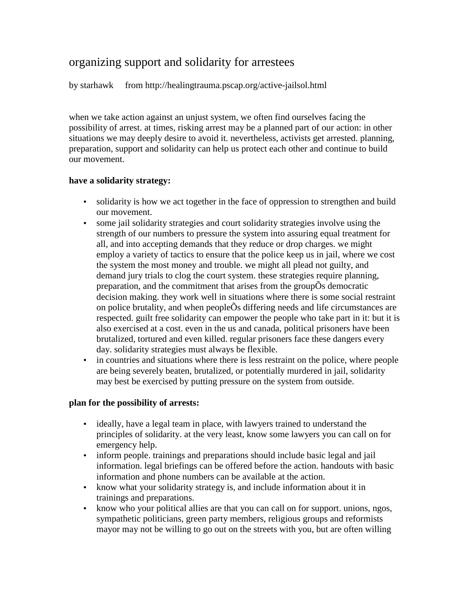# organizing support and solidarity for arrestees

by starhawk from http://healingtrauma.pscap.org/active-jailsol.html

when we take action against an unjust system, we often find ourselves facing the possibility of arrest. at times, risking arrest may be a planned part of our action: in other situations we may deeply desire to avoid it. nevertheless, activists get arrested. planning, preparation, support and solidarity can help us protect each other and continue to build our movement.

### **have a solidarity strategy:**

- solidarity is how we act together in the face of oppression to strengthen and build our movement.
- some jail solidarity strategies and court solidarity strategies involve using the strength of our numbers to pressure the system into assuring equal treatment for all, and into accepting demands that they reduce or drop charges. we might employ a variety of tactics to ensure that the police keep us in jail, where we cost the system the most money and trouble. we might all plead not guilty, and demand jury trials to clog the court system. these strategies require planning, preparation, and the commitment that arises from the groupÕs democratic decision making. they work well in situations where there is some social restraint on police brutality, and when peopleÕs differing needs and life circumstances are respected. guilt free solidarity can empower the people who take part in it: but it is also exercised at a cost. even in the us and canada, political prisoners have been brutalized, tortured and even killed. regular prisoners face these dangers every day. solidarity strategies must always be flexible.
- in countries and situations where there is less restraint on the police, where people are being severely beaten, brutalized, or potentially murdered in jail, solidarity may best be exercised by putting pressure on the system from outside.

# **plan for the possibility of arrests:**

- ideally, have a legal team in place, with lawyers trained to understand the principles of solidarity. at the very least, know some lawyers you can call on for emergency help.
- inform people, trainings and preparations should include basic legal and jail information. legal briefings can be offered before the action. handouts with basic information and phone numbers can be available at the action.
- know what your solidarity strategy is, and include information about it in trainings and preparations.
- know who your political allies are that you can call on for support. unions, ngos, sympathetic politicians, green party members, religious groups and reformists mayor may not be willing to go out on the streets with you, but are often willing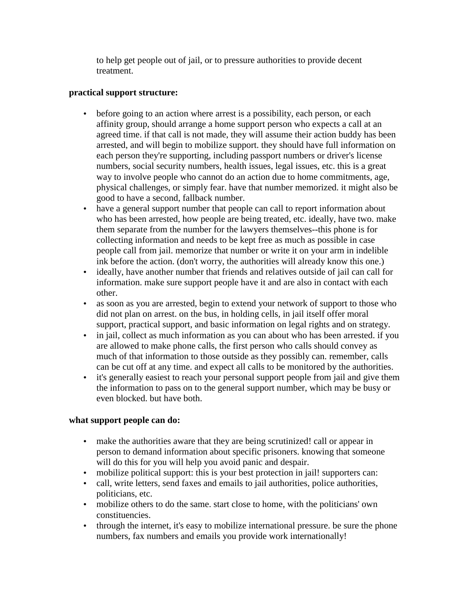to help get people out of jail, or to pressure authorities to provide decent treatment.

## **practical support structure:**

- before going to an action where arrest is a possibility, each person, or each affinity group, should arrange a home support person who expects a call at an agreed time. if that call is not made, they will assume their action buddy has been arrested, and will begin to mobilize support. they should have full information on each person they're supporting, including passport numbers or driver's license numbers, social security numbers, health issues, legal issues, etc. this is a great way to involve people who cannot do an action due to home commitments, age, physical challenges, or simply fear. have that number memorized. it might also be good to have a second, fallback number.
- have a general support number that people can call to report information about who has been arrested, how people are being treated, etc. ideally, have two. make them separate from the number for the lawyers themselves--this phone is for collecting information and needs to be kept free as much as possible in case people call from jail. memorize that number or write it on your arm in indelible ink before the action. (don't worry, the authorities will already know this one.)
- ideally, have another number that friends and relatives outside of jail can call for information. make sure support people have it and are also in contact with each other.
- as soon as you are arrested, begin to extend your network of support to those who did not plan on arrest. on the bus, in holding cells, in jail itself offer moral support, practical support, and basic information on legal rights and on strategy.
- in jail, collect as much information as you can about who has been arrested. if you are allowed to make phone calls, the first person who calls should convey as much of that information to those outside as they possibly can. remember, calls can be cut off at any time. and expect all calls to be monitored by the authorities.
- it's generally easiest to reach your personal support people from jail and give them the information to pass on to the general support number, which may be busy or even blocked. but have both.

# **what support people can do:**

- make the authorities aware that they are being scrutinized! call or appear in person to demand information about specific prisoners. knowing that someone will do this for you will help you avoid panic and despair.
- mobilize political support: this is your best protection in jail! supporters can:
- call, write letters, send faxes and emails to jail authorities, police authorities, politicians, etc.
- mobilize others to do the same. start close to home, with the politicians' own constituencies.
- through the internet, it's easy to mobilize international pressure. be sure the phone numbers, fax numbers and emails you provide work internationally!